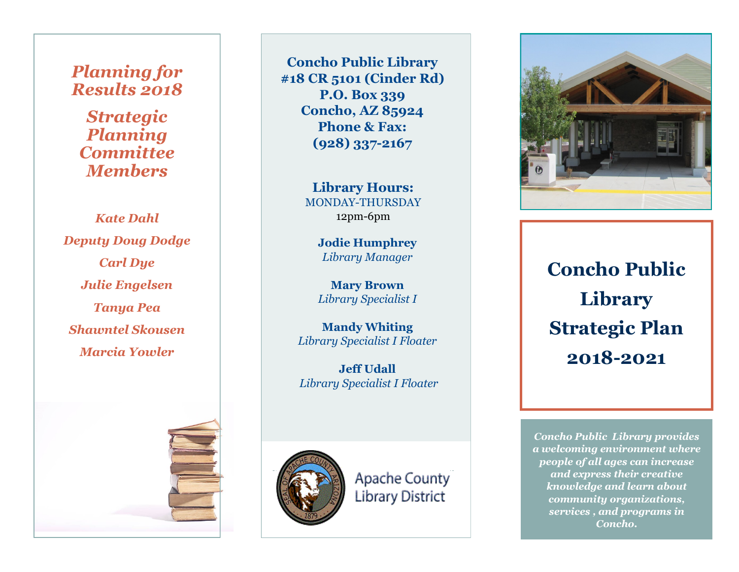### *Planning for Results 2018*

*Strategic Planning Committee Members*

*Kate Dahl Deputy Doug Dodge Carl Dye Julie Engelsen Tanya Pea Shawntel Skousen Marcia Yowler*

**Concho Public Library #18 CR 5101 (Cinder Rd) P.O. Box 339 Concho, AZ 85924 Phone & Fax: (928) 337 -2167**

> **Library Hours:** MONDAY -THURSDAY 12pm -6pm

> > **Jodie Humphrey** *Library Manager*

> > **Mary Brown** *Library Specialist I*

**Mandy Whiting** *Library Specialist I Floater*

**Jeff Udall** *Library Specialist I Floater*



Apache County Library District



**Concho Public Library Strategic Plan 2018 -2021**

*Concho Public Library provides a welcoming environment where people of all ages can increase and express their creative knowledge and learn about community organizations, services , and programs in Concho.*